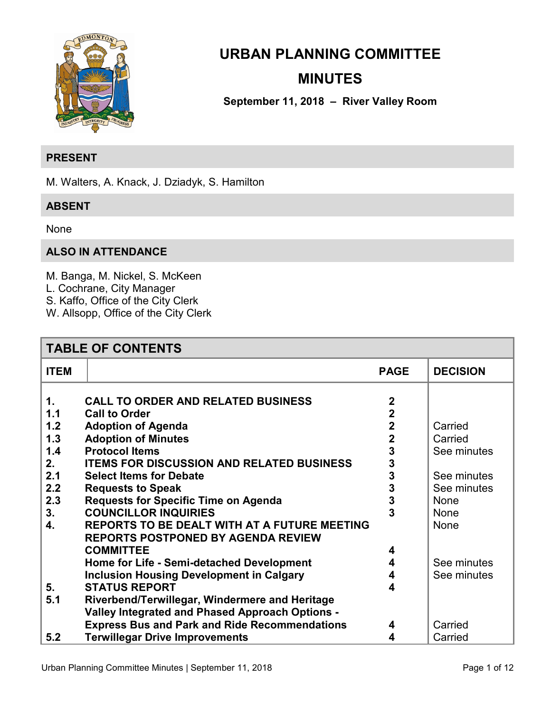

# **URBAN PLANNING COMMITTEE MINUTES**

**September 11, 2018 – River Valley Room** 

### **PRESENT**

M. Walters, A. Knack, J. Dziadyk, S. Hamilton

### **ABSENT**

None

### **ALSO IN ATTENDANCE**

M. Banga, M. Nickel, S. McKeen

- L. Cochrane, City Manager
- S. Kaffo, Office of the City Clerk
- W. Allsopp, Office of the City Clerk

| <b>TABLE OF CONTENTS</b> |                                                      |                         |                 |  |
|--------------------------|------------------------------------------------------|-------------------------|-----------------|--|
| <b>ITEM</b>              |                                                      | <b>PAGE</b>             | <b>DECISION</b> |  |
| 1.                       | <b>CALL TO ORDER AND RELATED BUSINESS</b>            | $\overline{2}$          |                 |  |
| 1.1                      | <b>Call to Order</b>                                 | $\overline{2}$          |                 |  |
| 1.2                      | <b>Adoption of Agenda</b>                            | $\mathbf 2$             | Carried         |  |
| 1.3                      | <b>Adoption of Minutes</b>                           | $\overline{\mathbf{2}}$ | Carried         |  |
| 1.4                      | <b>Protocol Items</b>                                | 3                       | See minutes     |  |
| 2.                       | <b>ITEMS FOR DISCUSSION AND RELATED BUSINESS</b>     | 3                       |                 |  |
| 2.1                      | <b>Select Items for Debate</b>                       | 3                       | See minutes     |  |
| 2.2                      | <b>Requests to Speak</b>                             | 3                       | See minutes     |  |
| 2.3                      | <b>Requests for Specific Time on Agenda</b>          | 3                       | <b>None</b>     |  |
| 3.                       | <b>COUNCILLOR INQUIRIES</b>                          | 3                       | <b>None</b>     |  |
| 4.                       | <b>REPORTS TO BE DEALT WITH AT A FUTURE MEETING</b>  |                         | None            |  |
|                          | <b>REPORTS POSTPONED BY AGENDA REVIEW</b>            |                         |                 |  |
|                          | <b>COMMITTEE</b>                                     | 4                       |                 |  |
|                          | Home for Life - Semi-detached Development            | 4                       | See minutes     |  |
|                          | <b>Inclusion Housing Development in Calgary</b>      | 4                       | See minutes     |  |
| 5.                       | <b>STATUS REPORT</b>                                 | 4                       |                 |  |
| 5.1                      | Riverbend/Terwillegar, Windermere and Heritage       |                         |                 |  |
|                          | Valley Integrated and Phased Approach Options -      |                         |                 |  |
|                          | <b>Express Bus and Park and Ride Recommendations</b> | 4                       | Carried         |  |
| 5.2                      | <b>Terwillegar Drive Improvements</b>                | 4                       | Carried         |  |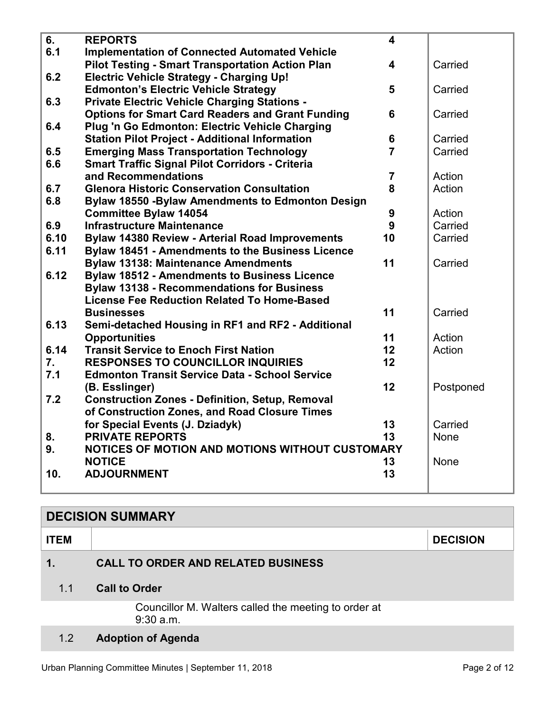<span id="page-1-0"></span>

| 6.   | <b>REPORTS</b>                                           | $\overline{\mathbf{4}}$ |           |
|------|----------------------------------------------------------|-------------------------|-----------|
| 6.1  | <b>Implementation of Connected Automated Vehicle</b>     |                         |           |
|      | <b>Pilot Testing - Smart Transportation Action Plan</b>  | $\overline{\mathbf{4}}$ | Carried   |
| 6.2  | <b>Electric Vehicle Strategy - Charging Up!</b>          |                         |           |
|      | <b>Edmonton's Electric Vehicle Strategy</b>              | 5                       | Carried   |
| 6.3  | <b>Private Electric Vehicle Charging Stations -</b>      |                         |           |
|      | <b>Options for Smart Card Readers and Grant Funding</b>  | 6                       | Carried   |
| 6.4  | Plug 'n Go Edmonton: Electric Vehicle Charging           |                         |           |
|      | <b>Station Pilot Project - Additional Information</b>    | $6\phantom{a}$          | Carried   |
| 6.5  | <b>Emerging Mass Transportation Technology</b>           | $\overline{7}$          | Carried   |
| 6.6  | <b>Smart Traffic Signal Pilot Corridors - Criteria</b>   |                         |           |
|      | and Recommendations                                      | $\overline{7}$          | Action    |
| 6.7  | <b>Glenora Historic Conservation Consultation</b>        | 8                       | Action    |
| 6.8  | <b>Bylaw 18550 - Bylaw Amendments to Edmonton Design</b> |                         |           |
|      | <b>Committee Bylaw 14054</b>                             | 9                       | Action    |
| 6.9  | <b>Infrastructure Maintenance</b>                        | 9                       | Carried   |
| 6.10 | <b>Bylaw 14380 Review - Arterial Road Improvements</b>   | 10                      | Carried   |
| 6.11 | <b>Bylaw 18451 - Amendments to the Business Licence</b>  |                         |           |
|      | <b>Bylaw 13138: Maintenance Amendments</b>               | 11                      | Carried   |
| 6.12 | <b>Bylaw 18512 - Amendments to Business Licence</b>      |                         |           |
|      | <b>Bylaw 13138 - Recommendations for Business</b>        |                         |           |
|      | <b>License Fee Reduction Related To Home-Based</b>       |                         |           |
|      | <b>Businesses</b>                                        | 11                      | Carried   |
| 6.13 | Semi-detached Housing in RF1 and RF2 - Additional        |                         |           |
|      | <b>Opportunities</b>                                     | 11                      | Action    |
| 6.14 | <b>Transit Service to Enoch First Nation</b>             | 12                      | Action    |
| 7.   | <b>RESPONSES TO COUNCILLOR INQUIRIES</b>                 | 12                      |           |
| 7.1  | <b>Edmonton Transit Service Data - School Service</b>    |                         |           |
|      | (B. Esslinger)                                           | 12                      | Postponed |
| 7.2  | <b>Construction Zones - Definition, Setup, Removal</b>   |                         |           |
|      | of Construction Zones, and Road Closure Times            |                         |           |
|      | for Special Events (J. Dziadyk)                          | 13                      | Carried   |
| 8.   | <b>PRIVATE REPORTS</b>                                   | 13                      | None      |
| 9.   | NOTICES OF MOTION AND MOTIONS WITHOUT CUSTOMARY          |                         |           |
|      | <b>NOTICE</b>                                            | 13                      | None      |
| 10.  | <b>ADJOURNMENT</b>                                       | 13                      |           |
|      |                                                          |                         |           |

| <b>DECISION SUMMARY</b> |                                                                   |                 |  |  |
|-------------------------|-------------------------------------------------------------------|-----------------|--|--|
| <b>ITEM</b>             |                                                                   | <b>DECISION</b> |  |  |
| 1.                      | <b>CALL TO ORDER AND RELATED BUSINESS</b>                         |                 |  |  |
| 1.1                     | <b>Call to Order</b>                                              |                 |  |  |
|                         | Councillor M. Walters called the meeting to order at<br>9:30 a.m. |                 |  |  |
| 1.2                     | <b>Adoption of Agenda</b>                                         |                 |  |  |

# Urban Planning Committee Minutes | September 11, 2018 **Page 2 of 12** Page 2 of 12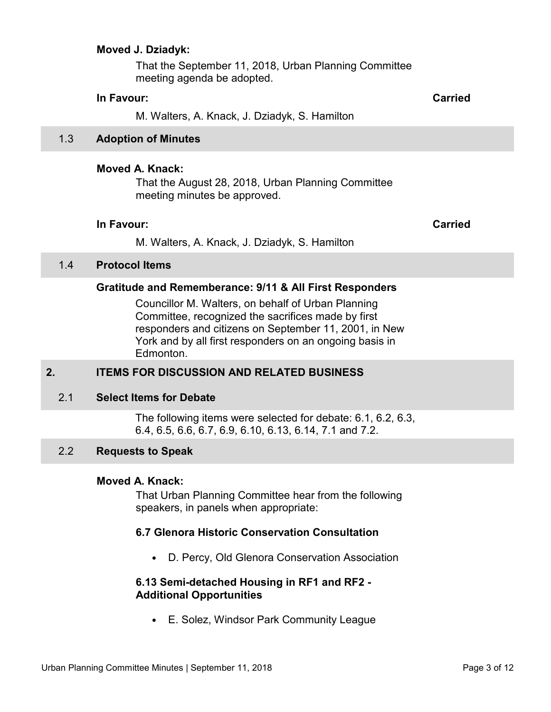#### <span id="page-2-0"></span>**Moved J. Dziadyk:**

That the September 11, 2018, Urban Planning Committee meeting agenda be adopted.

#### **In Favour: Carried**

M. Walters, A. Knack, J. Dziadyk, S. Hamilton

#### 1.3 **Adoption of Minutes**

#### **Moved A. Knack:**

That the August 28, 2018, Urban Planning Committee meeting minutes be approved.

#### **In Favour: Carried**

M. Walters, A. Knack, J. Dziadyk, S. Hamilton

#### 1.4 **Protocol Items**

#### **Gratitude and Rememberance: 9/11 & All First Responders**

Councillor M. Walters, on behalf of Urban Planning Committee, recognized the sacrifices made by first responders and citizens on September 11, 2001, in New York and by all first responders on an ongoing basis in Edmonton.

#### **2. ITEMS FOR DISCUSSION AND RELATED BUSINESS**

#### 2.1 **Select Items for Debate**

The following items were selected for debate: 6.1, 6.2, 6.3, 6.4, 6.5, 6.6, 6.7, 6.9, 6.10, 6.13, 6.14, 7.1 and 7.2.

### 2.2 **Requests to Speak**

#### **Moved A. Knack:**

That Urban Planning Committee hear from the following speakers, in panels when appropriate:

#### **6.7 Glenora Historic Conservation Consultation**

• D. Percy, Old Glenora Conservation Association

#### **6.13 Semi-detached Housing in RF1 and RF2 - Additional Opportunities**

• E. Solez, Windsor Park Community League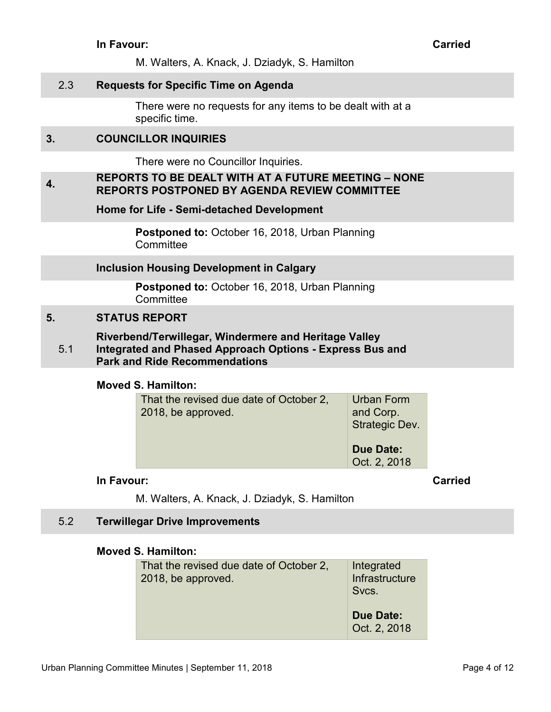M. Walters, A. Knack, J. Dziadyk, S. Hamilton

### <span id="page-3-0"></span>2.3 **Requests for Specific Time on Agenda**

There were no requests for any items to be dealt with at a specific time.

# **3. COUNCILLOR INQUIRIES**

There were no Councillor Inquiries.

#### **4. REPORTS TO BE DEALT WITH AT A FUTURE MEETING – NONE REPORTS POSTPONED BY AGENDA REVIEW COMMITTEE**

**Home for Life - Semi-detached Development** 

**Postponed to:** October 16, 2018, Urban Planning **Committee** 

#### **Inclusion Housing Development in Calgary**

**Postponed to:** October 16, 2018, Urban Planning **Committee** 

### **5. STATUS REPORT**

5.1 **Riverbend/Terwillegar, Windermere and Heritage Valley Integrated and Phased Approach Options - Express Bus and Park and Ride Recommendations** 

#### **Moved S. Hamilton:**

| That the revised due date of October 2,<br>2018, be approved. | Urban Form<br>and Corp.<br>Strategic Dev. |
|---------------------------------------------------------------|-------------------------------------------|
|                                                               | <b>Due Date:</b><br>Oct. 2, 2018          |

#### **In Favour: Carried**

M. Walters, A. Knack, J. Dziadyk, S. Hamilton

#### 5.2 **Terwillegar Drive Improvements**

#### **Moved S. Hamilton:**

| That the revised due date of October 2,<br>2018, be approved. | Integrated<br>Infrastructure<br>Svcs. |
|---------------------------------------------------------------|---------------------------------------|
|                                                               | <b>Due Date:</b><br>Oct. 2, 2018      |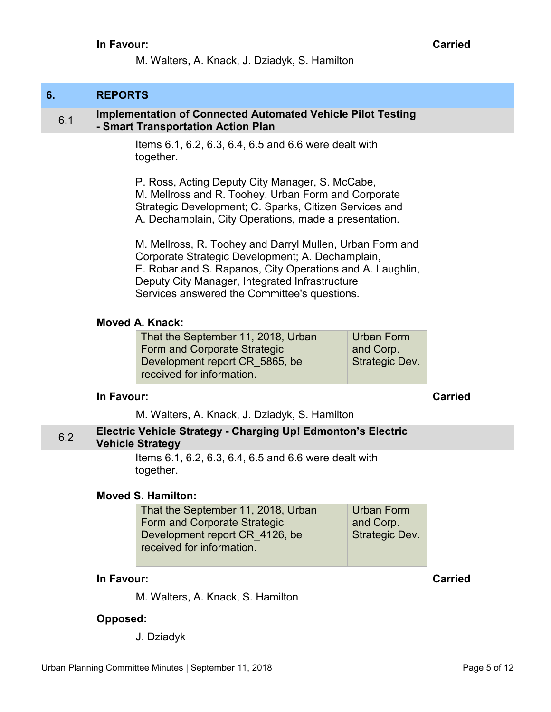M. Walters, A. Knack, J. Dziadyk, S. Hamilton

# <span id="page-4-0"></span>**6. REPORTS**

#### 6.1 **Implementation of Connected Automated Vehicle Pilot Testing - Smart Transportation Action Plan**

Items 6.1, 6.2, 6.3, 6.4, 6.5 and 6.6 were dealt with together.

P. Ross, Acting Deputy City Manager, S. McCabe, M. Mellross and R. Toohey, Urban Form and Corporate Strategic Development; C. Sparks, Citizen Services and A. Dechamplain, City Operations, made a presentation.

M. Mellross, R. Toohey and Darryl Mullen, Urban Form and Corporate Strategic Development; A. Dechamplain, E. Robar and S. Rapanos, City Operations and A. Laughlin, Deputy City Manager, Integrated Infrastructure Services answered the Committee's questions.

#### **Moved A. Knack:**

That the September 11, 2018, Urban Form and Corporate Strategic Development report CR\_5865, be received for information. Urban Form and Corp. Strategic Dev.

#### **In Favour: Carried**

M. Walters, A. Knack, J. Dziadyk, S. Hamilton

### 6.2 **Electric Vehicle Strategy - Charging Up! Edmonton's Electric Vehicle Strategy**

Items 6.1, 6.2, 6.3, 6.4, 6.5 and 6.6 were dealt with together.

#### **Moved S. Hamilton:**

| That the September 11, 2018, Urban | <b>Urban Form</b>     |
|------------------------------------|-----------------------|
| Form and Corporate Strategic       | and Corp.             |
| Development report CR 4126, be     | <b>Strategic Dev.</b> |
| received for information.          |                       |

#### **In Favour:** Carried Carried Carried Carried Carried Carried Carried Carried Carried Carried Carried Carried Carried Carried Carried Carried Carried Carried Carried Carried Carried Carried Carried Carried Carried Carried C

M. Walters, A. Knack, S. Hamilton

### **Opposed:**

J. Dziadyk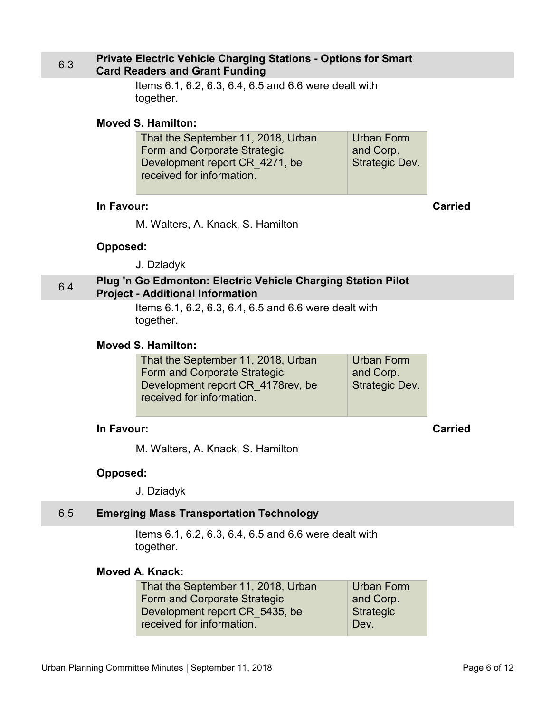#### <span id="page-5-0"></span>6.3 **Private Electric Vehicle Charging Stations - Options for Smart Card Readers and Grant Funding**

Items 6.1, 6.2, 6.3, 6.4, 6.5 and 6.6 were dealt with together.

#### **Moved S. Hamilton:**

| That the September 11, 2018, Urban | <b>Urban Form</b>     |
|------------------------------------|-----------------------|
| Form and Corporate Strategic       | and Corp.             |
| Development report CR 4271, be     | <b>Strategic Dev.</b> |
| received for information.          |                       |

#### **In Favour: Carried**

M. Walters, A. Knack, S. Hamilton

#### **Opposed:**

J. Dziadyk

# 6.4 **Plug 'n Go Edmonton: Electric Vehicle Charging Station Pilot Project - Additional Information**

Items 6.1, 6.2, 6.3, 6.4, 6.5 and 6.6 were dealt with together.

#### **Moved S. Hamilton:**

| That the September 11, 2018, Urban | <b>Urban Form</b>     |
|------------------------------------|-----------------------|
| Form and Corporate Strategic       | and Corp.             |
| Development report CR 4178rev, be  | <b>Strategic Dev.</b> |
| received for information.          |                       |

#### **In Favour: Carried**

M. Walters, A. Knack, S. Hamilton

#### **Opposed:**

J. Dziadyk

#### 6.5 **Emerging Mass Transportation Technology**

Items 6.1, 6.2, 6.3, 6.4, 6.5 and 6.6 were dealt with together.

# **Moved A. Knack:**

| That the September 11, 2018, Urban | Urban Form       |
|------------------------------------|------------------|
| Form and Corporate Strategic       | and Corp.        |
| Development report CR 5435, be     | <b>Strategic</b> |
| received for information.          | Dev.             |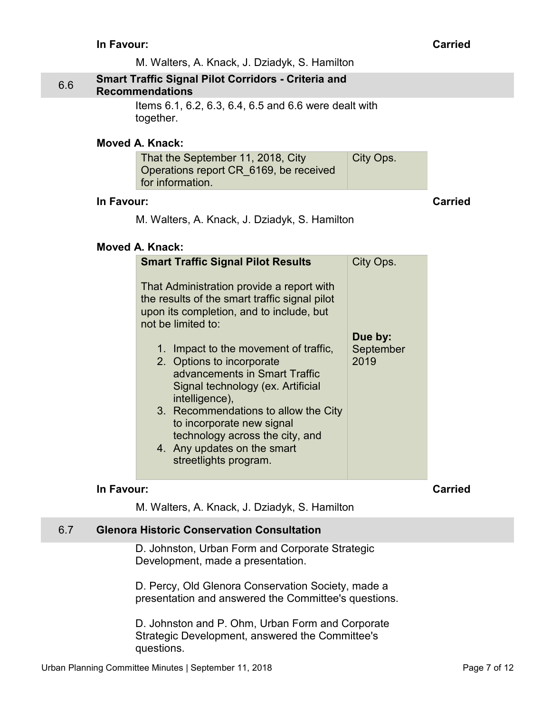<span id="page-6-0"></span>

|     | In Favour: |                                                                                                                                                                                                                                                                                                                                                                                                                                                                                            |                              | <b>Carried</b> |
|-----|------------|--------------------------------------------------------------------------------------------------------------------------------------------------------------------------------------------------------------------------------------------------------------------------------------------------------------------------------------------------------------------------------------------------------------------------------------------------------------------------------------------|------------------------------|----------------|
|     |            | M. Walters, A. Knack, J. Dziadyk, S. Hamilton                                                                                                                                                                                                                                                                                                                                                                                                                                              |                              |                |
| 6.6 |            | <b>Smart Traffic Signal Pilot Corridors - Criteria and</b><br><b>Recommendations</b>                                                                                                                                                                                                                                                                                                                                                                                                       |                              |                |
|     |            | Items 6.1, 6.2, 6.3, 6.4, 6.5 and 6.6 were dealt with<br>together.                                                                                                                                                                                                                                                                                                                                                                                                                         |                              |                |
|     |            | <b>Moved A. Knack:</b>                                                                                                                                                                                                                                                                                                                                                                                                                                                                     |                              |                |
|     |            | That the September 11, 2018, City<br>Operations report CR_6169, be received<br>for information.                                                                                                                                                                                                                                                                                                                                                                                            | City Ops.                    |                |
|     | In Favour: |                                                                                                                                                                                                                                                                                                                                                                                                                                                                                            |                              | <b>Carried</b> |
|     |            | M. Walters, A. Knack, J. Dziadyk, S. Hamilton                                                                                                                                                                                                                                                                                                                                                                                                                                              |                              |                |
|     |            | Moved A. Knack:                                                                                                                                                                                                                                                                                                                                                                                                                                                                            |                              |                |
|     |            | <b>Smart Traffic Signal Pilot Results</b>                                                                                                                                                                                                                                                                                                                                                                                                                                                  | City Ops.                    |                |
|     |            | That Administration provide a report with<br>the results of the smart traffic signal pilot<br>upon its completion, and to include, but<br>not be limited to:<br>1. Impact to the movement of traffic,<br>2. Options to incorporate<br>advancements in Smart Traffic<br>Signal technology (ex. Artificial<br>intelligence),<br>3. Recommendations to allow the City<br>to incorporate new signal<br>technology across the city, and<br>4. Any updates on the smart<br>streetlights program. | Due by:<br>September<br>2019 |                |
|     | In Favour: | M. Walters, A. Knack, J. Dziadyk, S. Hamilton                                                                                                                                                                                                                                                                                                                                                                                                                                              |                              | <b>Carried</b> |
| 6.7 |            | <b>Glenora Historic Conservation Consultation</b>                                                                                                                                                                                                                                                                                                                                                                                                                                          |                              |                |
|     |            | D. Johnston, Urban Form and Corporate Strategic<br>Development, made a presentation.                                                                                                                                                                                                                                                                                                                                                                                                       |                              |                |

D. Percy, Old Glenora Conservation Society, made a presentation and answered the Committee's questions.

D. Johnston and P. Ohm, Urban Form and Corporate Strategic Development, answered the Committee's questions.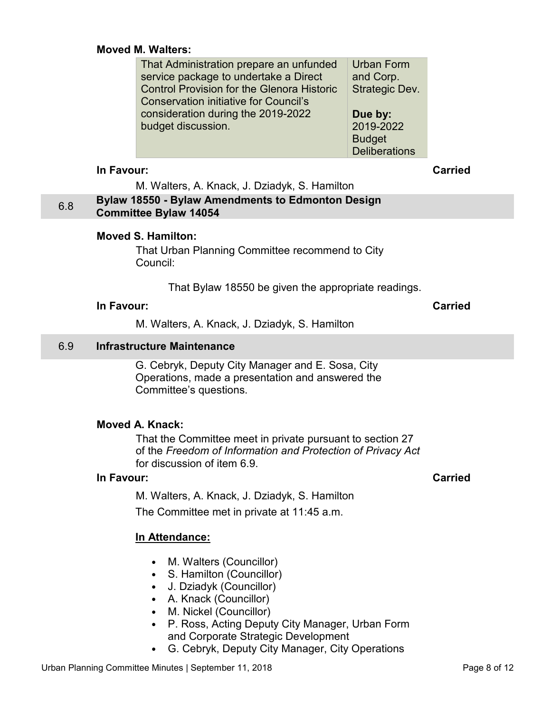#### <span id="page-7-0"></span>**Moved M. Walters:**

| That Administration prepare an unfunded           | <b>Urban Form</b>    |
|---------------------------------------------------|----------------------|
| service package to undertake a Direct             | and Corp.            |
| <b>Control Provision for the Glenora Historic</b> | Strategic Dev.       |
| <b>Conservation initiative for Council's</b>      |                      |
| consideration during the 2019-2022                | Due by:              |
| budget discussion.                                | 2019-2022            |
|                                                   | <b>Budget</b>        |
|                                                   | <b>Deliberations</b> |

#### **In Favour: Carried**

M. Walters, A. Knack, J. Dziadyk, S. Hamilton

# 6.8 **Bylaw 18550 - Bylaw Amendments to Edmonton Design Committee Bylaw 14054**

#### **Moved S. Hamilton:**

That Urban Planning Committee recommend to City Council:

That Bylaw 18550 be given the appropriate readings.

### **In Favour: Carried**

M. Walters, A. Knack, J. Dziadyk, S. Hamilton

# 6.9 **Infrastructure Maintenance**

G. Cebryk, Deputy City Manager and E. Sosa, City Operations, made a presentation and answered the Committee's questions.

### **Moved A. Knack:**

That the Committee meet in private pursuant to section 27 of the *Freedom of Information and Protection of Privacy Act* for discussion of item 6.9.

### **In Favour: Carried**

M. Walters, A. Knack, J. Dziadyk, S. Hamilton The Committee met in private at 11:45 a.m.

# **In Attendance:**

- M. Walters (Councillor)
- S. Hamilton (Councillor)
- J. Dziadyk (Councillor)
- A. Knack (Councillor)
- M. Nickel (Councillor)
- P. Ross, Acting Deputy City Manager, Urban Form and Corporate Strategic Development
- G. Cebryk, Deputy City Manager, City Operations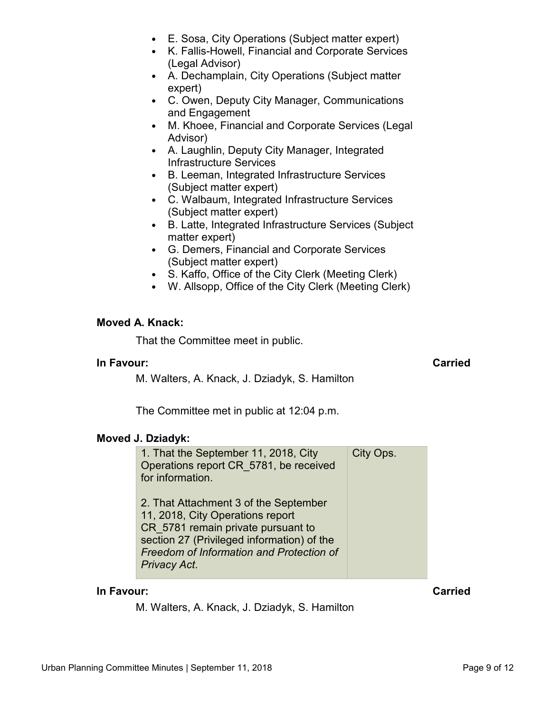- E. Sosa, City Operations (Subject matter expert)
- K. Fallis-Howell, Financial and Corporate Services (Legal Advisor)
- A. Dechamplain, City Operations (Subject matter expert)
- C. Owen, Deputy City Manager, Communications and Engagement
- M. Khoee, Financial and Corporate Services (Legal Advisor)
- A. Laughlin, Deputy City Manager, Integrated Infrastructure Services
- B. Leeman, Integrated Infrastructure Services (Subject matter expert)
- C. Walbaum, Integrated Infrastructure Services (Subject matter expert)
- B. Latte, Integrated Infrastructure Services (Subject matter expert)
- G. Demers, Financial and Corporate Services (Subject matter expert)
- S. Kaffo, Office of the City Clerk (Meeting Clerk)
- W. Allsopp, Office of the City Clerk (Meeting Clerk)

### **Moved A. Knack:**

That the Committee meet in public.

### **In Favour: Carried**

M. Walters, A. Knack, J. Dziadyk, S. Hamilton

The Committee met in public at 12:04 p.m.

### **Moved J. Dziadyk:**

| 1. That the September 11, 2018, City<br>Operations report CR 5781, be received<br>for information.                                                                                                                        | City Ops. |
|---------------------------------------------------------------------------------------------------------------------------------------------------------------------------------------------------------------------------|-----------|
| 2. That Attachment 3 of the September<br>11, 2018, City Operations report<br>CR 5781 remain private pursuant to<br>section 27 (Privileged information) of the<br>Freedom of Information and Protection of<br>Privacy Act. |           |

### **In Favour: Carried**

M. Walters, A. Knack, J. Dziadyk, S. Hamilton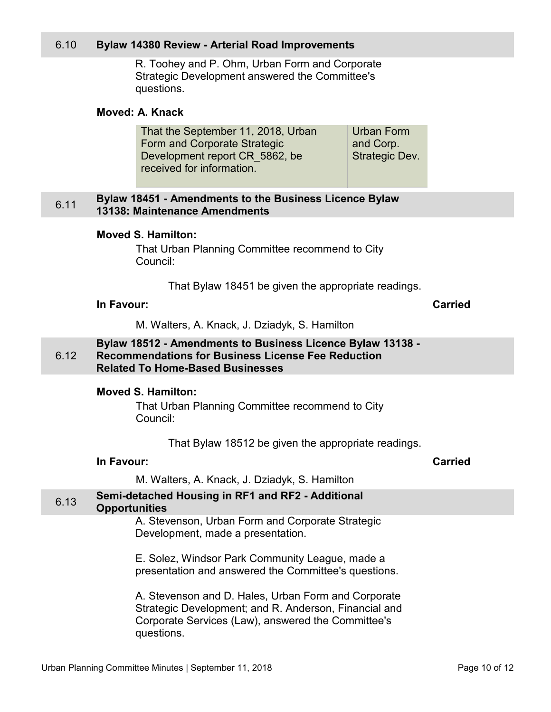#### <span id="page-9-0"></span>6.10 **Bylaw 14380 Review - Arterial Road Improvements**

R. Toohey and P. Ohm, Urban Form and Corporate Strategic Development answered the Committee's questions.

#### **Moved: A. Knack**

| That the September 11, 2018, Urban | <b>Urban Form</b>     |
|------------------------------------|-----------------------|
| Form and Corporate Strategic       | and Corp.             |
| Development report CR 5862, be     | <b>Strategic Dev.</b> |
| received for information.          |                       |

#### 6.11 **Bylaw 18451 - Amendments to the Business Licence Bylaw 13138: Maintenance Amendments**

#### **Moved S. Hamilton:**

That Urban Planning Committee recommend to City Council:

That Bylaw 18451 be given the appropriate readings.

#### **In Favour:** Carried Carried Carried Carried Carried Carried Carried Carried Carried Carried Carried Carried Carried Carried Carried Carried Carried Carried Carried Carried Carried Carried Carried Carried Carried Carried C

M. Walters, A. Knack, J. Dziadyk, S. Hamilton

#### 6.12 **Bylaw 18512 - Amendments to Business Licence Bylaw 13138 - Recommendations for Business License Fee Reduction Related To Home-Based Businesses**

#### **Moved S. Hamilton:**

That Urban Planning Committee recommend to City Council:

That Bylaw 18512 be given the appropriate readings.

#### **In Favour: Carried**

M. Walters, A. Knack, J. Dziadyk, S. Hamilton

# 6.13 **Semi-detached Housing in RF1 and RF2 - Additional**

#### **Opportunities**

A. Stevenson, Urban Form and Corporate Strategic Development, made a presentation.

E. Solez, Windsor Park Community League, made a presentation and answered the Committee's questions.

A. Stevenson and D. Hales, Urban Form and Corporate Strategic Development; and R. Anderson, Financial and Corporate Services (Law), answered the Committee's questions.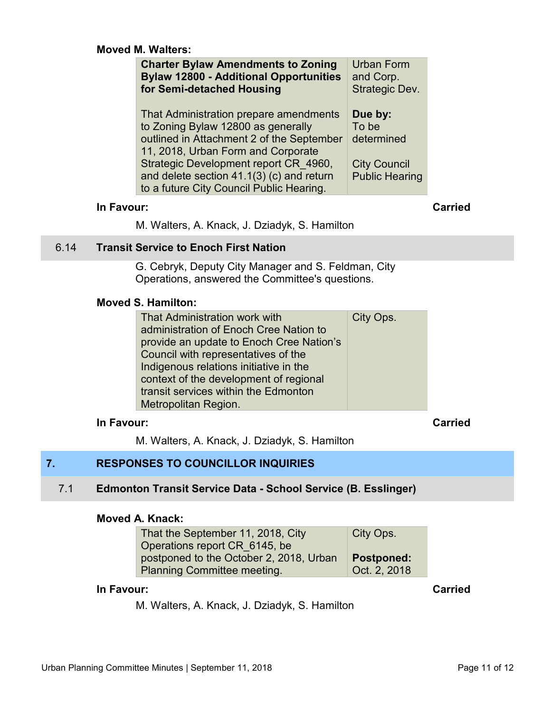#### <span id="page-10-0"></span>**Moved M. Walters:**

| <b>Charter Bylaw Amendments to Zoning</b><br><b>Bylaw 12800 - Additional Opportunities</b><br>for Semi-detached Housing                                         | Urban Form<br>and Corp.<br>Strategic Dev.    |  |
|-----------------------------------------------------------------------------------------------------------------------------------------------------------------|----------------------------------------------|--|
| That Administration prepare amendments<br>to Zoning Bylaw 12800 as generally<br>outlined in Attachment 2 of the September<br>11, 2018, Urban Form and Corporate | Due by:<br>To be<br>determined               |  |
| Strategic Development report CR 4960,<br>and delete section 41.1(3) (c) and return<br>to a future City Council Public Hearing.                                  | <b>City Council</b><br><b>Public Hearing</b> |  |
| In Favour:                                                                                                                                                      |                                              |  |

M. Walters, A. Knack, J. Dziadyk, S. Hamilton

### 6.14 **Transit Service to Enoch First Nation**

G. Cebryk, Deputy City Manager and S. Feldman, City Operations, answered the Committee's questions.

#### **Moved S. Hamilton:**

| That Administration work with<br>administration of Enoch Cree Nation to<br>provide an update to Enoch Cree Nation's<br>Council with representatives of the<br>Indigenous relations initiative in the<br>context of the development of regional<br>transit services within the Edmonton<br>Metropolitan Region. | City Ops. |
|----------------------------------------------------------------------------------------------------------------------------------------------------------------------------------------------------------------------------------------------------------------------------------------------------------------|-----------|
|----------------------------------------------------------------------------------------------------------------------------------------------------------------------------------------------------------------------------------------------------------------------------------------------------------------|-----------|

# **In Favour: Carried**

M. Walters, A. Knack, J. Dziadyk, S. Hamilton

# **7. RESPONSES TO COUNCILLOR INQUIRIES**

#### 7.1 **Edmonton Transit Service Data - School Service (B. Esslinger)**

#### **Moved A. Knack:**

| That the September 11, 2018, City       | City Ops.         |
|-----------------------------------------|-------------------|
| Operations report CR 6145, be           |                   |
| postponed to the October 2, 2018, Urban | <b>Postponed:</b> |
| <b>Planning Committee meeting.</b>      | Oct. 2, 2018      |

# **In Favour: Carried**

M. Walters, A. Knack, J. Dziadyk, S. Hamilton